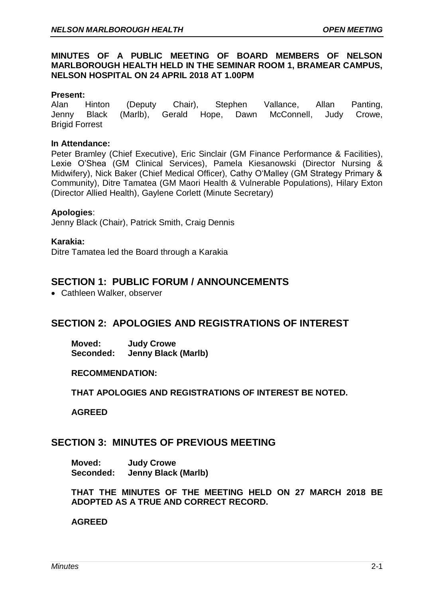### **MINUTES OF A PUBLIC MEETING OF BOARD MEMBERS OF NELSON MARLBOROUGH HEALTH HELD IN THE SEMINAR ROOM 1, BRAMEAR CAMPUS, NELSON HOSPITAL ON 24 APRIL 2018 AT 1.00PM**

### **Present:**

Alan Hinton (Deputy Chair), Stephen Vallance, Allan Panting, Jenny Black (Marlb), Gerald Hope, Dawn McConnell, Judy Crowe, Brigid Forrest

### **In Attendance:**

Peter Bramley (Chief Executive), Eric Sinclair (GM Finance Performance & Facilities), Lexie O'Shea (GM Clinical Services), Pamela Kiesanowski (Director Nursing & Midwifery), Nick Baker (Chief Medical Officer), Cathy O'Malley (GM Strategy Primary & Community), Ditre Tamatea (GM Maori Health & Vulnerable Populations), Hilary Exton (Director Allied Health), Gaylene Corlett (Minute Secretary)

### **Apologies**:

Jenny Black (Chair), Patrick Smith, Craig Dennis

### **Karakia:**

Ditre Tamatea led the Board through a Karakia

# **SECTION 1: PUBLIC FORUM / ANNOUNCEMENTS**

• Cathleen Walker, observer

# **SECTION 2: APOLOGIES AND REGISTRATIONS OF INTEREST**

**Moved: Judy Crowe Seconded: Jenny Black (Marlb)**

#### **RECOMMENDATION:**

**THAT APOLOGIES AND REGISTRATIONS OF INTEREST BE NOTED.**

**AGREED** 

## **SECTION 3: MINUTES OF PREVIOUS MEETING**

**Moved: Judy Crowe Seconded: Jenny Black (Marlb)**

**THAT THE MINUTES OF THE MEETING HELD ON 27 MARCH 2018 BE ADOPTED AS A TRUE AND CORRECT RECORD.**

#### **AGREED**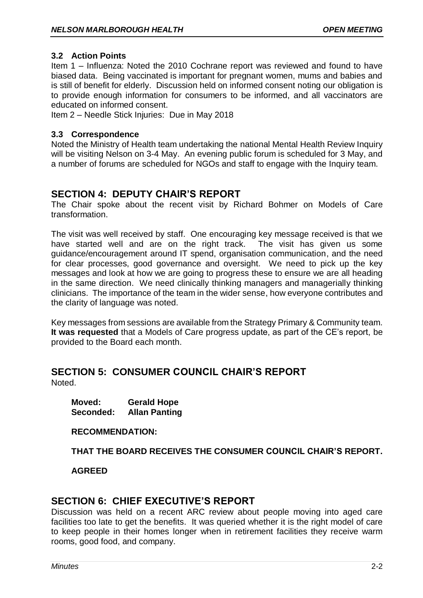### **3.2 Action Points**

Item 1 – Influenza: Noted the 2010 Cochrane report was reviewed and found to have biased data. Being vaccinated is important for pregnant women, mums and babies and is still of benefit for elderly. Discussion held on informed consent noting our obligation is to provide enough information for consumers to be informed, and all vaccinators are educated on informed consent.

Item 2 – Needle Stick Injuries: Due in May 2018

### **3.3 Correspondence**

Noted the Ministry of Health team undertaking the national Mental Health Review Inquiry will be visiting Nelson on 3-4 May. An evening public forum is scheduled for 3 May, and a number of forums are scheduled for NGOs and staff to engage with the Inquiry team.

# **SECTION 4: DEPUTY CHAIR'S REPORT**

The Chair spoke about the recent visit by Richard Bohmer on Models of Care transformation.

The visit was well received by staff. One encouraging key message received is that we have started well and are on the right track. The visit has given us some guidance/encouragement around IT spend, organisation communication, and the need for clear processes, good governance and oversight. We need to pick up the key messages and look at how we are going to progress these to ensure we are all heading in the same direction. We need clinically thinking managers and managerially thinking clinicians. The importance of the team in the wider sense, how everyone contributes and the clarity of language was noted.

Key messages from sessions are available from the Strategy Primary & Community team. **It was requested** that a Models of Care progress update, as part of the CE's report, be provided to the Board each month.

### **SECTION 5: CONSUMER COUNCIL CHAIR'S REPORT** Noted.

**Moved: Gerald Hope Seconded: Allan Panting**

**RECOMMENDATION:**

**THAT THE BOARD RECEIVES THE CONSUMER COUNCIL CHAIR'S REPORT.**

**AGREED**

## **SECTION 6: CHIEF EXECUTIVE'S REPORT**

Discussion was held on a recent ARC review about people moving into aged care facilities too late to get the benefits. It was queried whether it is the right model of care to keep people in their homes longer when in retirement facilities they receive warm rooms, good food, and company.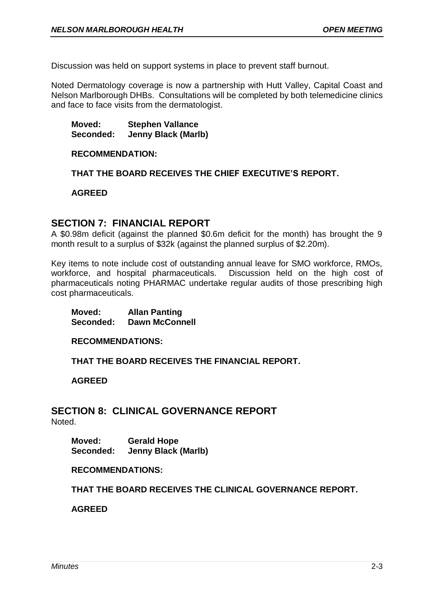Discussion was held on support systems in place to prevent staff burnout.

Noted Dermatology coverage is now a partnership with Hutt Valley, Capital Coast and Nelson Marlborough DHBs. Consultations will be completed by both telemedicine clinics and face to face visits from the dermatologist.

**Moved: Stephen Vallance Seconded: Jenny Black (Marlb)**

#### **RECOMMENDATION:**

**THAT THE BOARD RECEIVES THE CHIEF EXECUTIVE'S REPORT.**

**AGREED**

## **SECTION 7: FINANCIAL REPORT**

A \$0.98m deficit (against the planned \$0.6m deficit for the month) has brought the 9 month result to a surplus of \$32k (against the planned surplus of \$2.20m).

Key items to note include cost of outstanding annual leave for SMO workforce, RMOs, workforce, and hospital pharmaceuticals. Discussion held on the high cost of pharmaceuticals noting PHARMAC undertake regular audits of those prescribing high cost pharmaceuticals.

**Moved: Allan Panting Seconded: Dawn McConnell**

**RECOMMENDATIONS:**

**THAT THE BOARD RECEIVES THE FINANCIAL REPORT.**

**AGREED**

## **SECTION 8: CLINICAL GOVERNANCE REPORT** Noted.

**Moved: Gerald Hope Seconded: Jenny Black (Marlb)**

#### **RECOMMENDATIONS:**

**THAT THE BOARD RECEIVES THE CLINICAL GOVERNANCE REPORT.**

**AGREED**